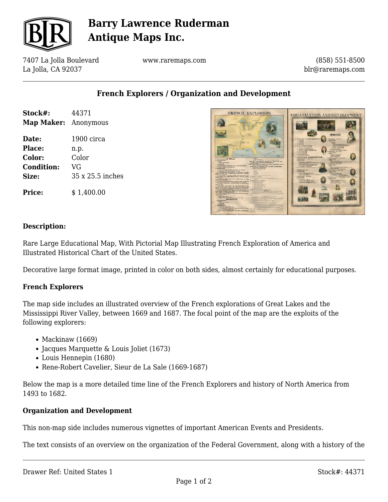

# **Barry Lawrence Ruderman Antique Maps Inc.**

7407 La Jolla Boulevard La Jolla, CA 92037

www.raremaps.com

(858) 551-8500 blr@raremaps.com

**French Explorers / Organization and Development**

| Stock#:              | 44371            |
|----------------------|------------------|
| Map Maker: Anonymous |                  |
| Date:                | 1900 circa       |
| Place:               | n.p.             |
| Color:               | Color            |
| <b>Condition:</b>    | VG               |
| Size:                | 35 x 25.5 inches |
| <b>Price:</b>        | \$1,400.00       |



### **Description:**

Rare Large Educational Map, With Pictorial Map Illustrating French Exploration of America and Illustrated Historical Chart of the United States.

Decorative large format image, printed in color on both sides, almost certainly for educational purposes.

#### **French Explorers**

The map side includes an illustrated overview of the French explorations of Great Lakes and the Mississippi River Valley, between 1669 and 1687. The focal point of the map are the exploits of the following explorers:

- $\bullet$  Mackinaw (1669)
- Jacques Marquette & Louis Joliet (1673)
- Louis Hennepin (1680)
- Rene-Robert Cavelier, Sieur de La Sale (1669-1687)

Below the map is a more detailed time line of the French Explorers and history of North America from 1493 to 1682.

#### **Organization and Development**

This non-map side includes numerous vignettes of important American Events and Presidents.

The text consists of an overview on the organization of the Federal Government, along with a history of the